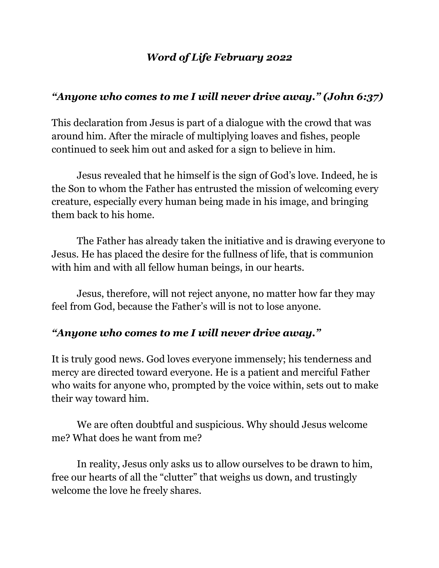#### *Word of Life February 2022*

### *"Anyone who comes to me I will never drive away." (John 6:37)*

This declaration from Jesus is part of a dialogue with the crowd that was around him. After the miracle of multiplying loaves and fishes, people continued to seek him out and asked for a sign to believe in him.

Jesus revealed that he himself is the sign of God's love. Indeed, he is the Son to whom the Father has entrusted the mission of welcoming every creature, especially every human being made in his image, and bringing them back to his home.

The Father has already taken the initiative and is drawing everyone to Jesus. He has placed the desire for the fullness of life, that is communion with him and with all fellow human beings, in our hearts.

Jesus, therefore, will not reject anyone, no matter how far they may feel from God, because the Father's will is not to lose anyone.

#### *"Anyone who comes to me I will never drive away."*

It is truly good news. God loves everyone immensely; his tenderness and mercy are directed toward everyone. He is a patient and merciful Father who waits for anyone who, prompted by the voice within, sets out to make their way toward him.

We are often doubtful and suspicious. Why should Jesus welcome me? What does he want from me?

In reality, Jesus only asks us to allow ourselves to be drawn to him, free our hearts of all the "clutter" that weighs us down, and trustingly welcome the love he freely shares.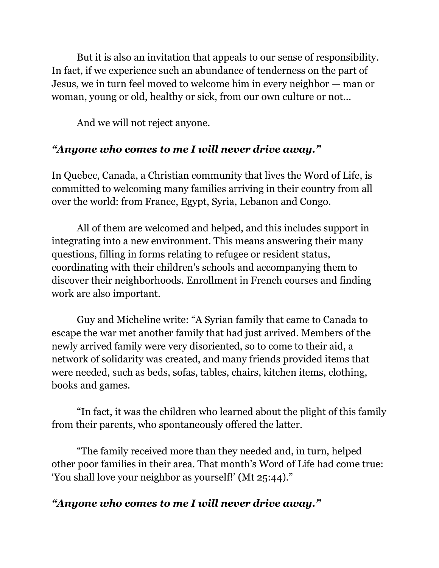But it is also an invitation that appeals to our sense of responsibility. In fact, if we experience such an abundance of tenderness on the part of Jesus, we in turn feel moved to welcome him in every neighbor — man or woman, young or old, healthy or sick, from our own culture or not...

And we will not reject anyone.

## *"Anyone who comes to me I will never drive away."*

In Quebec, Canada, a Christian community that lives the Word of Life, is committed to welcoming many families arriving in their country from all over the world: from France, Egypt, Syria, Lebanon and Congo.

All of them are welcomed and helped, and this includes support in integrating into a new environment. This means answering their many questions, filling in forms relating to refugee or resident status, coordinating with their children's schools and accompanying them to discover their neighborhoods. Enrollment in French courses and finding work are also important.

Guy and Micheline write: "A Syrian family that came to Canada to escape the war met another family that had just arrived. Members of the newly arrived family were very disoriented, so to come to their aid, a network of solidarity was created, and many friends provided items that were needed, such as beds, sofas, tables, chairs, kitchen items, clothing, books and games.

"In fact, it was the children who learned about the plight of this family from their parents, who spontaneously offered the latter.

"The family received more than they needed and, in turn, helped other poor families in their area. That month's Word of Life had come true: 'You shall love your neighbor as yourself!' (Mt 25:44)."

# *"Anyone who comes to me I will never drive away."*